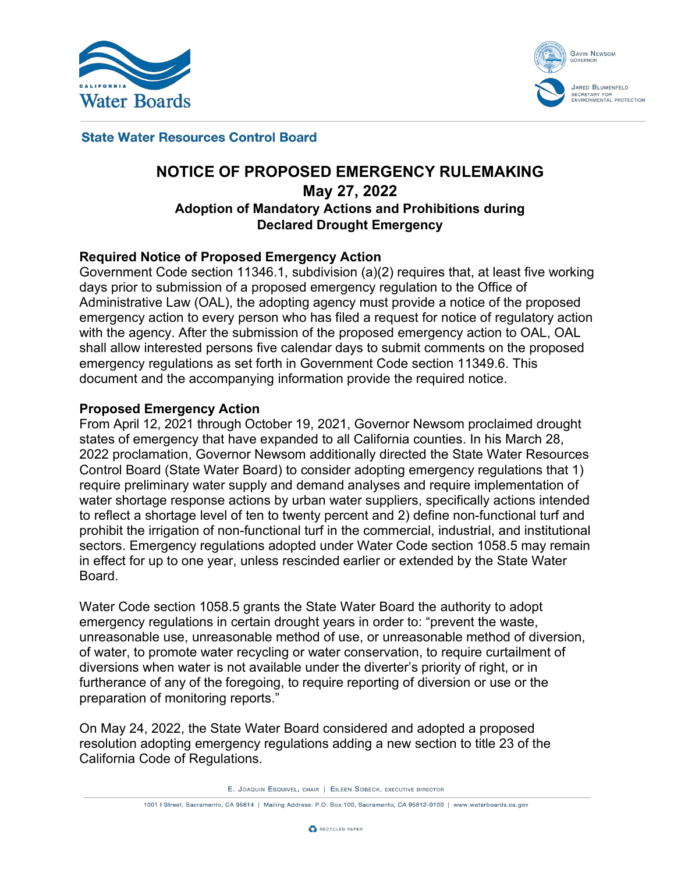



**State Water Resources Control Board** 

# **NOTICE OF PROPOSED EMERGENCY RULEMAKING May 27, 2022 Adoption of Mandatory Actions and Prohibitions during Declared Drought Emergency**

## **Required Notice of Proposed Emergency Action**

Government Code section 11346.1, subdivision (a)(2) requires that, at least five working days prior to submission of a proposed emergency regulation to the Office of Administrative Law (OAL), the adopting agency must provide a notice of the proposed emergency action to every person who has filed a request for notice of regulatory action with the agency. After the submission of the proposed emergency action to OAL, OAL shall allow interested persons five calendar days to submit comments on the proposed emergency regulations as set forth in Government Code section 11349.6. This document and the accompanying information provide the required notice.

#### **Proposed Emergency Action**

From April 12, 2021 through October 19, 2021, Governor Newsom proclaimed drought states of emergency that have expanded to all California counties. In his March 28, 2022 proclamation, Governor Newsom additionally directed the State Water Resources Control Board (State Water Board) to consider adopting emergency regulations that 1) require preliminary water supply and demand analyses and require implementation of water shortage response actions by urban water suppliers, specifically actions intended to reflect a shortage level of ten to twenty percent and 2) define non-functional turf and prohibit the irrigation of non-functional turf in the commercial, industrial, and institutional sectors. Emergency regulations adopted under Water Code section 1058.5 may remain in effect for up to one year, unless rescinded earlier or extended by the State Water Board.

Water Code section 1058.5 grants the State Water Board the authority to adopt emergency regulations in certain drought years in order to: "prevent the waste, unreasonable use, unreasonable method of use, or unreasonable method of diversion, of water, to promote water recycling or water conservation, to require curtailment of diversions when water is not available under the diverter's priority of right, or in furtherance of any of the foregoing, to require reporting of diversion or use or the preparation of monitoring reports."

On May 24, 2022, the State Water Board considered and adopted a proposed resolution adopting emergency regulations adding a new section to title 23 of the California Code of Regulations.

E. JOAQUIN ESQUIVEL, CHAIR | EILEEN SOBECK, EXECUTIVE DIRECTOR

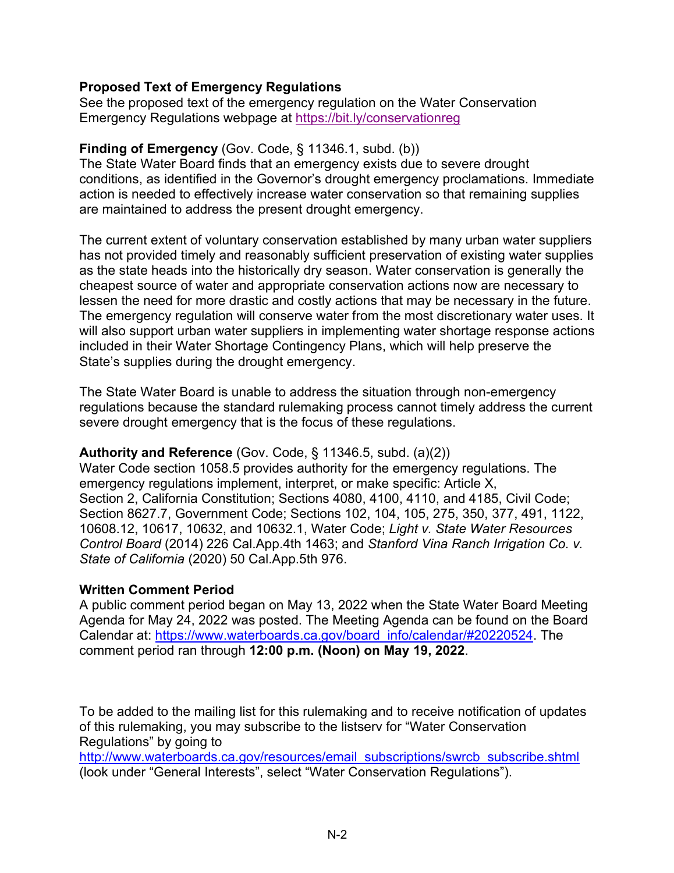## **Proposed Text of Emergency Regulations**

See the proposed text of the emergency regulation on the Water Conservation Emergency Regulations webpage at<https://bit.ly/conservationreg>

# **Finding of Emergency** (Gov. Code, § 11346.1, subd. (b))

The State Water Board finds that an emergency exists due to severe drought conditions, as identified in the Governor's drought emergency proclamations. Immediate action is needed to effectively increase water conservation so that remaining supplies are maintained to address the present drought emergency.

The current extent of voluntary conservation established by many urban water suppliers has not provided timely and reasonably sufficient preservation of existing water supplies as the state heads into the historically dry season. Water conservation is generally the cheapest source of water and appropriate conservation actions now are necessary to lessen the need for more drastic and costly actions that may be necessary in the future. The emergency regulation will conserve water from the most discretionary water uses. It will also support urban water suppliers in implementing water shortage response actions included in their Water Shortage Contingency Plans, which will help preserve the State's supplies during the drought emergency.

The State Water Board is unable to address the situation through non-emergency regulations because the standard rulemaking process cannot timely address the current severe drought emergency that is the focus of these regulations.

#### **Authority and Reference** (Gov. Code, § 11346.5, subd. (a)(2))

Water Code section 1058.5 provides authority for the emergency regulations. The emergency regulations implement, interpret, or make specific: Article X, Section 2, California Constitution; Sections 4080, 4100, 4110, and 4185, Civil Code; Section 8627.7, Government Code; Sections 102, 104, 105, 275, 350, 377, 491, 1122, 10608.12, 10617, 10632, and 10632.1, Water Code; *Light v. State Water Resources Control Board* (2014) 226 Cal.App.4th 1463; and *Stanford Vina Ranch Irrigation Co. v. State of California* (2020) 50 Cal.App.5th 976.

#### **Written Comment Period**

A public comment period began on May 13, 2022 when the State Water Board Meeting Agenda for May 24, 2022 was posted. The Meeting Agenda can be found on the Board Calendar at: [https://www.waterboards.ca.gov/board\\_info/calendar/#20220524.](https://www.waterboards.ca.gov/board_info/calendar/#20220524) The comment period ran through **12:00 p.m. (Noon) on May 19, 2022**.

To be added to the mailing list for this rulemaking and to receive notification of updates of this rulemaking, you may subscribe to the listserv for "Water Conservation Regulations" by going to

[http://www.waterboards.ca.gov/resources/email\\_subscriptions/swrcb\\_subscribe.shtml](http://www.waterboards.ca.gov/resources/email_subscriptions/swrcb_subscribe.shtml) (look under "General Interests", select "Water Conservation Regulations").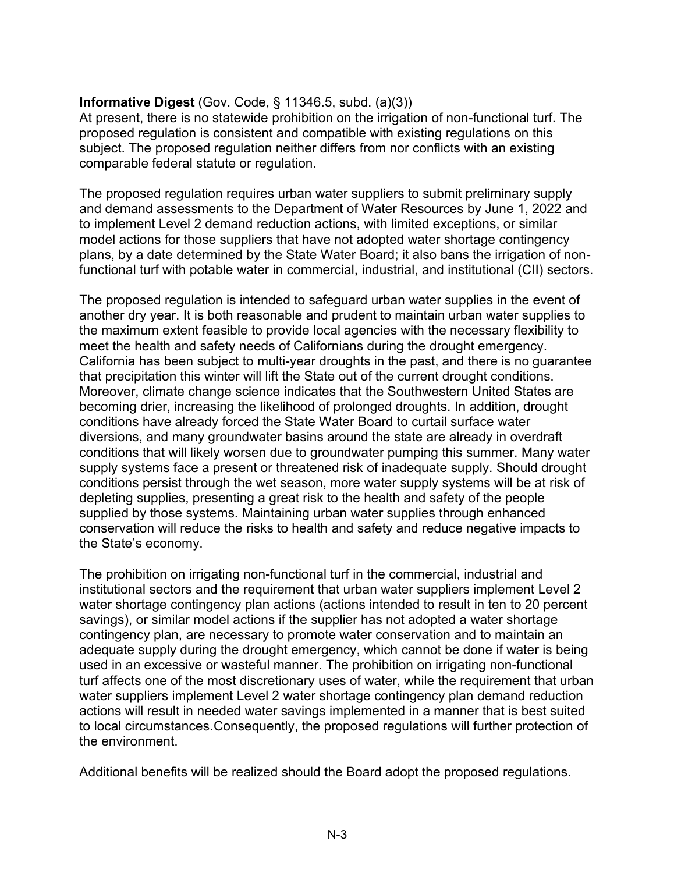# **Informative Digest** (Gov. Code, § 11346.5, subd. (a)(3))

At present, there is no statewide prohibition on the irrigation of non-functional turf. The proposed regulation is consistent and compatible with existing regulations on this subject. The proposed regulation neither differs from nor conflicts with an existing comparable federal statute or regulation.

The proposed regulation requires urban water suppliers to submit preliminary supply and demand assessments to the Department of Water Resources by June 1, 2022 and to implement Level 2 demand reduction actions, with limited exceptions, or similar model actions for those suppliers that have not adopted water shortage contingency plans, by a date determined by the State Water Board; it also bans the irrigation of nonfunctional turf with potable water in commercial, industrial, and institutional (CII) sectors.

The proposed regulation is intended to safeguard urban water supplies in the event of another dry year. It is both reasonable and prudent to maintain urban water supplies to the maximum extent feasible to provide local agencies with the necessary flexibility to meet the health and safety needs of Californians during the drought emergency. California has been subject to multi-year droughts in the past, and there is no guarantee that precipitation this winter will lift the State out of the current drought conditions. Moreover, climate change science indicates that the Southwestern United States are becoming drier, increasing the likelihood of prolonged droughts. In addition, drought conditions have already forced the State Water Board to curtail surface water diversions, and many groundwater basins around the state are already in overdraft conditions that will likely worsen due to groundwater pumping this summer. Many water supply systems face a present or threatened risk of inadequate supply. Should drought conditions persist through the wet season, more water supply systems will be at risk of depleting supplies, presenting a great risk to the health and safety of the people supplied by those systems. Maintaining urban water supplies through enhanced conservation will reduce the risks to health and safety and reduce negative impacts to the State's economy.

The prohibition on irrigating non-functional turf in the commercial, industrial and institutional sectors and the requirement that urban water suppliers implement Level 2 water shortage contingency plan actions (actions intended to result in ten to 20 percent savings), or similar model actions if the supplier has not adopted a water shortage contingency plan, are necessary to promote water conservation and to maintain an adequate supply during the drought emergency, which cannot be done if water is being used in an excessive or wasteful manner. The prohibition on irrigating non-functional turf affects one of the most discretionary uses of water, while the requirement that urban water suppliers implement Level 2 water shortage contingency plan demand reduction actions will result in needed water savings implemented in a manner that is best suited to local circumstances.Consequently, the proposed regulations will further protection of the environment.

Additional benefits will be realized should the Board adopt the proposed regulations.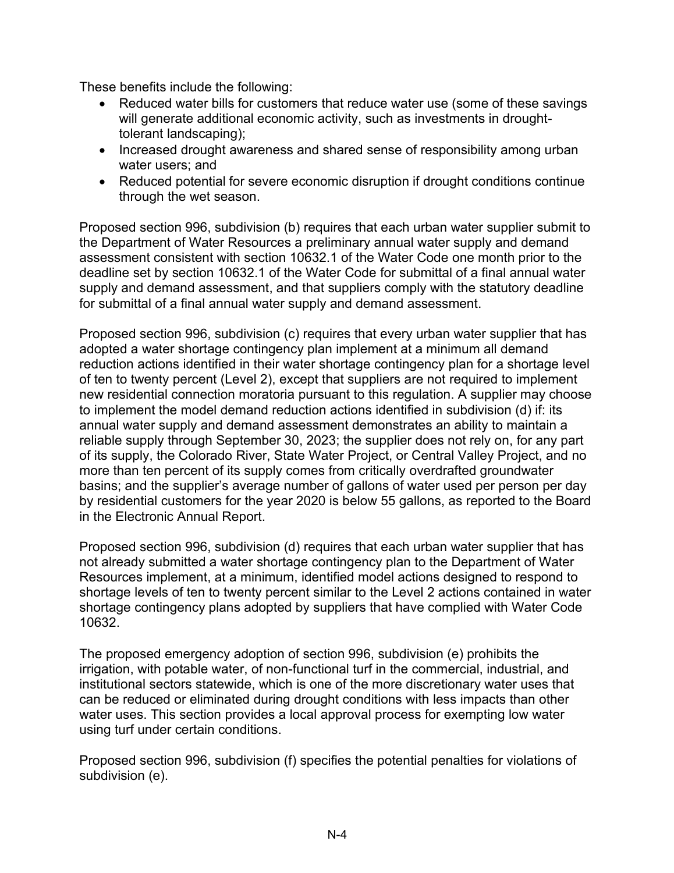These benefits include the following:

- · Reduced water bills for customers that reduce water use (some of these savings will generate additional economic activity, such as investments in droughttolerant landscaping);
- · Increased drought awareness and shared sense of responsibility among urban water users; and
- · Reduced potential for severe economic disruption if drought conditions continue through the wet season.

Proposed section 996, subdivision (b) requires that each urban water supplier submit to the Department of Water Resources a preliminary annual water supply and demand assessment consistent with section 10632.1 of the Water Code one month prior to the deadline set by section 10632.1 of the Water Code for submittal of a final annual water supply and demand assessment, and that suppliers comply with the statutory deadline for submittal of a final annual water supply and demand assessment.

Proposed section 996, subdivision (c) requires that every urban water supplier that has adopted a water shortage contingency plan implement at a minimum all demand reduction actions identified in their water shortage contingency plan for a shortage level of ten to twenty percent (Level 2), except that suppliers are not required to implement new residential connection moratoria pursuant to this regulation. A supplier may choose to implement the model demand reduction actions identified in subdivision (d) if: its annual water supply and demand assessment demonstrates an ability to maintain a reliable supply through September 30, 2023; the supplier does not rely on, for any part of its supply, the Colorado River, State Water Project, or Central Valley Project, and no more than ten percent of its supply comes from critically overdrafted groundwater basins; and the supplier's average number of gallons of water used per person per day by residential customers for the year 2020 is below 55 gallons, as reported to the Board in the Electronic Annual Report.

Proposed section 996, subdivision (d) requires that each urban water supplier that has not already submitted a water shortage contingency plan to the Department of Water Resources implement, at a minimum, identified model actions designed to respond to shortage levels of ten to twenty percent similar to the Level 2 actions contained in water shortage contingency plans adopted by suppliers that have complied with Water Code 10632.

The proposed emergency adoption of section 996, subdivision (e) prohibits the irrigation, with potable water, of non-functional turf in the commercial, industrial, and institutional sectors statewide, which is one of the more discretionary water uses that can be reduced or eliminated during drought conditions with less impacts than other water uses. This section provides a local approval process for exempting low water using turf under certain conditions.

Proposed section 996, subdivision (f) specifies the potential penalties for violations of subdivision (e).